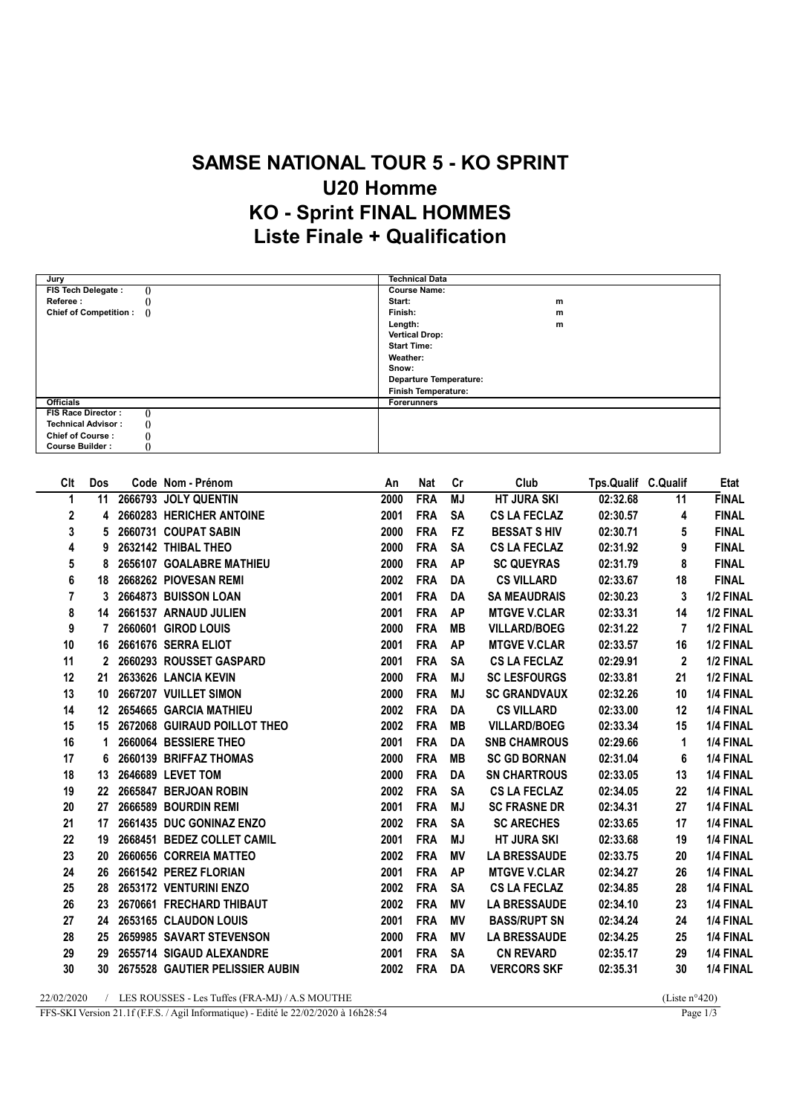## SAMSE NATIONAL TOUR 5 - KO SPRINT U20 Homme KO - Sprint FINAL HOMMES Liste Finale + Qualification

| Jury                                  | <b>Technical Data</b>         |
|---------------------------------------|-------------------------------|
| FIS Tech Delegate :<br>$\theta$       | <b>Course Name:</b>           |
| Referee:                              | Start:<br>m                   |
| Chief of Competition : ()             | Finish:<br>m                  |
|                                       | Length:<br>m                  |
|                                       | <b>Vertical Drop:</b>         |
|                                       | <b>Start Time:</b>            |
|                                       | Weather:                      |
|                                       | Snow:                         |
|                                       | <b>Departure Temperature:</b> |
|                                       | <b>Finish Temperature:</b>    |
| <b>Officials</b>                      | <b>Forerunners</b>            |
| FIS Race Director:                    |                               |
| <b>Technical Advisor:</b><br>$\Omega$ |                               |
| <b>Chief of Course:</b>               |                               |
| <b>Course Builder:</b>                |                               |

| Clt          | Dos              | Code Nom - Prénom                  | An   | <b>Nat</b> | Cr        | Club                | Tps.Qualif C.Qualif |              | <b>Etat</b>  |
|--------------|------------------|------------------------------------|------|------------|-----------|---------------------|---------------------|--------------|--------------|
| 1            | 11               | 2666793 JOLY QUENTIN               | 2000 | <b>FRA</b> | MJ        | <b>HT JURA SKI</b>  | 02:32.68            | 11           | <b>FINAL</b> |
| $\mathbf{2}$ | 4                | 2660283 HERICHER ANTOINE           | 2001 | <b>FRA</b> | <b>SA</b> | <b>CS LA FECLAZ</b> | 02:30.57            | 4            | <b>FINAL</b> |
| 3            | 5                | 2660731 COUPAT SABIN               | 2000 | <b>FRA</b> | <b>FZ</b> | <b>BESSAT S HIV</b> | 02:30.71            | 5            | <b>FINAL</b> |
| 4            | 9                | 2632142 THIBAL THEO                | 2000 | <b>FRA</b> | <b>SA</b> | <b>CS LA FECLAZ</b> | 02:31.92            | 9            | <b>FINAL</b> |
| 5            | 8                | 2656107 GOALABRE MATHIEU           | 2000 | <b>FRA</b> | <b>AP</b> | <b>SC QUEYRAS</b>   | 02:31.79            | 8            | <b>FINAL</b> |
| 6            | 18               | 2668262 PIOVESAN REMI              | 2002 | <b>FRA</b> | DA        | <b>CS VILLARD</b>   | 02:33.67            | 18           | <b>FINAL</b> |
| 7            | 3                | 2664873 BUISSON LOAN               | 2001 | <b>FRA</b> | DA        | <b>SA MEAUDRAIS</b> | 02:30.23            | 3            | 1/2 FINAL    |
| 8            | 14               | 2661537 ARNAUD JULIEN              | 2001 | <b>FRA</b> | <b>AP</b> | <b>MTGVE V.CLAR</b> | 02:33.31            | 14           | 1/2 FINAL    |
| 9            | 7                | 2660601 GIROD LOUIS                | 2000 | <b>FRA</b> | <b>MB</b> | <b>VILLARD/BOEG</b> | 02:31.22            | 7            | 1/2 FINAL    |
| 10           | 16               | 2661676 SERRA ELIOT                | 2001 | <b>FRA</b> | <b>AP</b> | <b>MTGVE V.CLAR</b> | 02:33.57            | 16           | 1/2 FINAL    |
| 11           | 2                | 2660293 ROUSSET GASPARD            | 2001 | <b>FRA</b> | <b>SA</b> | <b>CS LA FECLAZ</b> | 02:29.91            | $\mathbf{2}$ | 1/2 FINAL    |
| 12           | 21               | 2633626 LANCIA KEVIN               | 2000 | <b>FRA</b> | <b>MJ</b> | <b>SC LESFOURGS</b> | 02:33.81            | 21           | 1/2 FINAL    |
| 13           | 10 <sup>°</sup>  | 2667207 VUILLET SIMON              | 2000 | <b>FRA</b> | <b>MJ</b> | <b>SC GRANDVAUX</b> | 02:32.26            | 10           | 1/4 FINAL    |
| 14           |                  | 12 2654665 GARCIA MATHIEU          | 2002 | <b>FRA</b> | <b>DA</b> | <b>CS VILLARD</b>   | 02:33.00            | 12           | 1/4 FINAL    |
| 15           |                  | 15 2672068 GUIRAUD POILLOT THEO    | 2002 | <b>FRA</b> | <b>MB</b> | <b>VILLARD/BOEG</b> | 02:33.34            | 15           | 1/4 FINAL    |
| 16           | 1.               | 2660064 BESSIERE THEO              | 2001 | <b>FRA</b> | DA        | <b>SNB CHAMROUS</b> | 02:29.66            | 1            | 1/4 FINAL    |
| 17           | 6                | 2660139 BRIFFAZ THOMAS             | 2000 | <b>FRA</b> | MВ        | <b>SC GD BORNAN</b> | 02:31.04            | 6            | 1/4 FINAL    |
| 18           | 13               | 2646689 LEVET TOM                  | 2000 | <b>FRA</b> | DA        | <b>SN CHARTROUS</b> | 02:33.05            | 13           | 1/4 FINAL    |
| 19           | $22\phantom{.0}$ | 2665847 BERJOAN ROBIN              | 2002 | <b>FRA</b> | <b>SA</b> | <b>CS LA FECLAZ</b> | 02:34.05            | 22           | 1/4 FINAL    |
| 20           | 27               | 2666589 BOURDIN REMI               | 2001 | <b>FRA</b> | MJ        | <b>SC FRASNE DR</b> | 02:34.31            | 27           | 1/4 FINAL    |
| 21           | 17               | 2661435 DUC GONINAZ ENZO           | 2002 | <b>FRA</b> | <b>SA</b> | <b>SC ARECHES</b>   | 02:33.65            | 17           | 1/4 FINAL    |
| 22           | 19               | 2668451 BEDEZ COLLET CAMIL         | 2001 | <b>FRA</b> | <b>MJ</b> | <b>HT JURA SKI</b>  | 02:33.68            | 19           | 1/4 FINAL    |
| 23           | 20               | 2660656 CORREIA MATTEO             | 2002 | <b>FRA</b> | <b>MV</b> | <b>LA BRESSAUDE</b> | 02:33.75            | 20           | 1/4 FINAL    |
| 24           | 26               | 2661542 PEREZ FLORIAN              | 2001 | <b>FRA</b> | <b>AP</b> | <b>MTGVE V.CLAR</b> | 02:34.27            | 26           | 1/4 FINAL    |
| 25           | 28               | 2653172 VENTURINI ENZO             | 2002 | <b>FRA</b> | <b>SA</b> | <b>CS LA FECLAZ</b> | 02:34.85            | 28           | 1/4 FINAL    |
| 26           | 23               | 2670661 FRECHARD THIBAUT           | 2002 | <b>FRA</b> | MV        | <b>LA BRESSAUDE</b> | 02:34.10            | 23           | 1/4 FINAL    |
| 27           | 24               | 2653165 CLAUDON LOUIS              | 2001 | <b>FRA</b> | ΜV        | <b>BASS/RUPT SN</b> | 02:34.24            | 24           | 1/4 FINAL    |
| 28           | 25               | 2659985 SAVART STEVENSON           | 2000 | <b>FRA</b> | <b>MV</b> | <b>LA BRESSAUDE</b> | 02:34.25            | 25           | 1/4 FINAL    |
| 29           | 29               | 2655714 SIGAUD ALEXANDRE           | 2001 | <b>FRA</b> | <b>SA</b> | <b>CN REVARD</b>    | 02:35.17            | 29           | 1/4 FINAL    |
| 30           |                  | 30 2675528 GAUTIER PELISSIER AUBIN | 2002 | <b>FRA</b> | DA        | <b>VERCORS SKF</b>  | 02:35.31            | 30           | 1/4 FINAL    |
|              |                  |                                    |      |            |           |                     |                     |              |              |

22/02/2020 / LES ROUSSES - Les Tuffes (FRA-MJ) / A.S MOUTHE (Liste n°420)<br>FFS-SKI Version 21.1f (F.F.S. / Agil Informatique) - Edité le 22/02/2020 à 16h28:54 Page 1/3 FFS-SKI Version 21.1f (F.F.S. / Agil Informatique) - Edité le 22/02/2020 à 16h28:54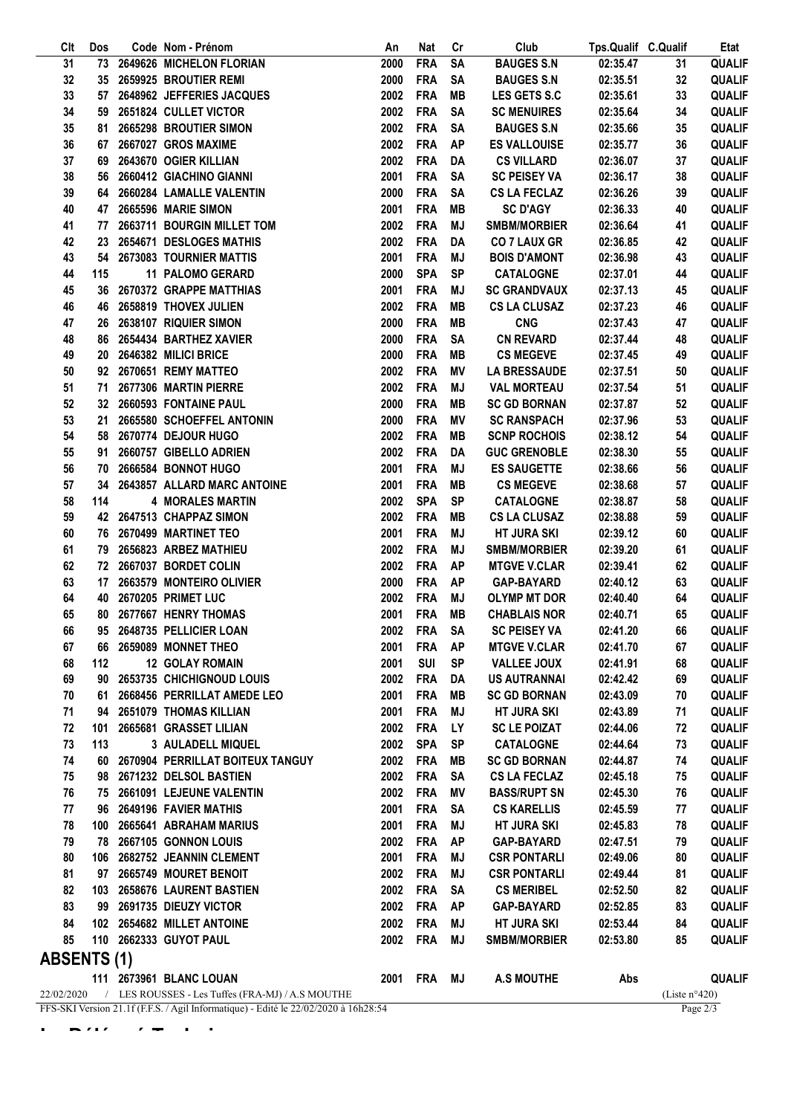| Clt                | Dos                                                                                               |  | Code Nom - Prénom                                | An   | <b>Nat</b>  | Cr        | Club                | Tps.Qualif C.Qualif |                         | Etat          |
|--------------------|---------------------------------------------------------------------------------------------------|--|--------------------------------------------------|------|-------------|-----------|---------------------|---------------------|-------------------------|---------------|
| 31                 |                                                                                                   |  | 73 2649626 MICHELON FLORIAN                      | 2000 | <b>FRA</b>  | SA        | <b>BAUGES S.N</b>   | 02:35.47            | 31                      | <b>QUALIF</b> |
| 32                 | 35                                                                                                |  | 2659925 BROUTIER REMI                            | 2000 | <b>FRA</b>  | <b>SA</b> | <b>BAUGES S.N</b>   | 02:35.51            | 32                      | <b>QUALIF</b> |
| 33                 | 57                                                                                                |  | 2648962 JEFFERIES JACQUES                        | 2002 | <b>FRA</b>  | MВ        | <b>LES GETS S.C</b> | 02:35.61            | 33                      | <b>QUALIF</b> |
| 34                 | 59                                                                                                |  | 2651824 CULLET VICTOR                            | 2002 | <b>FRA</b>  | <b>SA</b> | <b>SC MENUIRES</b>  | 02:35.64            | 34                      | <b>QUALIF</b> |
| 35                 | 81                                                                                                |  | 2665298 BROUTIER SIMON                           | 2002 | <b>FRA</b>  | <b>SA</b> | <b>BAUGES S.N</b>   | 02:35.66            | 35                      | <b>QUALIF</b> |
| 36                 | 67                                                                                                |  | 2667027 GROS MAXIME                              | 2002 | <b>FRA</b>  | <b>AP</b> | <b>ES VALLOUISE</b> | 02:35.77            | 36                      | <b>QUALIF</b> |
| 37                 | 69                                                                                                |  | 2643670 OGIER KILLIAN                            | 2002 | <b>FRA</b>  | DA        | <b>CS VILLARD</b>   | 02:36.07            | 37                      | <b>QUALIF</b> |
| 38                 | 56                                                                                                |  | 2660412 GIACHINO GIANNI                          | 2001 | <b>FRA</b>  | SA        | <b>SC PEISEY VA</b> | 02:36.17            | 38                      | QUALIF        |
| 39                 | 64                                                                                                |  | 2660284 LAMALLE VALENTIN                         | 2000 | <b>FRA</b>  | <b>SA</b> | <b>CS LA FECLAZ</b> | 02:36.26            | 39                      | <b>QUALIF</b> |
| 40                 | 47                                                                                                |  | 2665596 MARIE SIMON                              | 2001 | <b>FRA</b>  | MВ        | <b>SC D'AGY</b>     | 02:36.33            | 40                      | <b>QUALIF</b> |
| 41                 | 77                                                                                                |  | 2663711 BOURGIN MILLET TOM                       | 2002 | <b>FRA</b>  | MJ        | <b>SMBM/MORBIER</b> | 02:36.64            | 41                      | QUALIF        |
|                    |                                                                                                   |  | 2654671 DESLOGES MATHIS                          | 2002 | <b>FRA</b>  | <b>DA</b> | <b>CO 7 LAUX GR</b> |                     |                         | <b>QUALIF</b> |
| 42                 | 23                                                                                                |  |                                                  |      |             |           |                     | 02:36.85            | 42                      | <b>QUALIF</b> |
| 43                 | 54                                                                                                |  | 2673083 TOURNIER MATTIS                          | 2001 | <b>FRA</b>  | MJ        | <b>BOIS D'AMONT</b> | 02:36.98            | 43                      |               |
| 44                 | 115                                                                                               |  | 11 PALOMO GERARD                                 | 2000 | <b>SPA</b>  | <b>SP</b> | <b>CATALOGNE</b>    | 02:37.01            | 44                      | <b>QUALIF</b> |
| 45                 | 36                                                                                                |  | 2670372 GRAPPE MATTHIAS                          | 2001 | <b>FRA</b>  | MJ        | <b>SC GRANDVAUX</b> | 02:37.13            | 45                      | <b>QUALIF</b> |
| 46                 | 46                                                                                                |  | 2658819 THOVEX JULIEN                            | 2002 | <b>FRA</b>  | MВ        | <b>CS LA CLUSAZ</b> | 02:37.23            | 46                      | <b>QUALIF</b> |
| 47                 | 26                                                                                                |  | 2638107 RIQUIER SIMON                            | 2000 | <b>FRA</b>  | MВ        | <b>CNG</b>          | 02:37.43            | 47                      | <b>QUALIF</b> |
| 48                 | 86                                                                                                |  | 2654434 BARTHEZ XAVIER                           | 2000 | <b>FRA</b>  | <b>SA</b> | <b>CN REVARD</b>    | 02:37.44            | 48                      | <b>QUALIF</b> |
| 49                 | 20                                                                                                |  | 2646382 MILICI BRICE                             | 2000 | <b>FRA</b>  | MВ        | <b>CS MEGEVE</b>    | 02:37.45            | 49                      | <b>QUALIF</b> |
| 50                 |                                                                                                   |  | 92 2670651 REMY MATTEO                           | 2002 | <b>FRA</b>  | ΜV        | <b>LA BRESSAUDE</b> | 02:37.51            | 50                      | <b>QUALIF</b> |
| 51                 | 71                                                                                                |  | 2677306 MARTIN PIERRE                            | 2002 | <b>FRA</b>  | MJ        | <b>VAL MORTEAU</b>  | 02:37.54            | 51                      | <b>QUALIF</b> |
| 52                 |                                                                                                   |  | 32 2660593 FONTAINE PAUL                         | 2000 | <b>FRA</b>  | MВ        | <b>SC GD BORNAN</b> | 02:37.87            | 52                      | <b>QUALIF</b> |
| 53                 | 21                                                                                                |  | 2665580 SCHOEFFEL ANTONIN                        | 2000 | <b>FRA</b>  | ΜV        | <b>SC RANSPACH</b>  | 02:37.96            | 53                      | <b>QUALIF</b> |
| 54                 | 58                                                                                                |  | 2670774 DEJOUR HUGO                              | 2002 | <b>FRA</b>  | MВ        | <b>SCNP ROCHOIS</b> | 02:38.12            | 54                      | <b>QUALIF</b> |
| 55                 | 91                                                                                                |  | 2660757 GIBELLO ADRIEN                           | 2002 | <b>FRA</b>  | DA        | <b>GUC GRENOBLE</b> | 02:38.30            | 55                      | <b>QUALIF</b> |
| 56                 | 70                                                                                                |  | 2666584 BONNOT HUGO                              | 2001 | <b>FRA</b>  | MJ        | <b>ES SAUGETTE</b>  | 02:38.66            | 56                      | <b>QUALIF</b> |
| 57                 | 34                                                                                                |  | 2643857 ALLARD MARC ANTOINE                      | 2001 | <b>FRA</b>  | MВ        | <b>CS MEGEVE</b>    | 02:38.68            | 57                      | <b>QUALIF</b> |
| 58                 | 114                                                                                               |  | <b>4 MORALES MARTIN</b>                          | 2002 | <b>SPA</b>  | <b>SP</b> | <b>CATALOGNE</b>    | 02:38.87            | 58                      | <b>QUALIF</b> |
| 59                 | 42                                                                                                |  | 2647513 CHAPPAZ SIMON                            | 2002 | <b>FRA</b>  | MВ        | <b>CS LA CLUSAZ</b> | 02:38.88            | 59                      | <b>QUALIF</b> |
| 60                 | 76                                                                                                |  | 2670499 MARTINET TEO                             | 2001 | <b>FRA</b>  | MJ        | <b>HT JURA SKI</b>  | 02:39.12            | 60                      | <b>QUALIF</b> |
| 61                 | 79                                                                                                |  | 2656823 ARBEZ MATHIEU                            | 2002 | <b>FRA</b>  | MJ        | <b>SMBM/MORBIER</b> | 02:39.20            | 61                      | <b>QUALIF</b> |
| 62                 | 72                                                                                                |  | 2667037 BORDET COLIN                             | 2002 | <b>FRA</b>  | <b>AP</b> | <b>MTGVE V.CLAR</b> | 02:39.41            | 62                      | <b>QUALIF</b> |
| 63                 |                                                                                                   |  | 2663579 MONTEIRO OLIVIER                         | 2000 | <b>FRA</b>  |           | <b>GAP-BAYARD</b>   | 02:40.12            | 63                      | <b>QUALIF</b> |
|                    | 17                                                                                                |  |                                                  |      |             | <b>AP</b> |                     |                     |                         |               |
| 64                 | 40                                                                                                |  | 2670205 PRIMET LUC                               | 2002 | <b>FRA</b>  | MJ        | <b>OLYMP MT DOR</b> | 02:40.40            | 64                      | <b>QUALIF</b> |
| 65                 | 80                                                                                                |  | 2677667 HENRY THOMAS                             | 2001 | <b>FRA</b>  | MВ        | <b>CHABLAIS NOR</b> | 02:40.71            | 65                      | <b>QUALIF</b> |
| 66                 |                                                                                                   |  | 95 2648735 PELLICIER LOAN                        | 2002 | <b>FRA</b>  | <b>SA</b> | <b>SC PEISEY VA</b> | 02:41.20            | 66                      | <b>QUALIF</b> |
| 67                 |                                                                                                   |  | 66 2659089 MONNET THEO                           | 2001 | FRA AP      |           | <b>MTGVE V.CLAR</b> | 02:41.70            | 67                      | <b>QUALIF</b> |
| 68                 | 112                                                                                               |  | <b>12 GOLAY ROMAIN</b>                           | 2001 | <b>SUI</b>  | <b>SP</b> | <b>VALLEE JOUX</b>  | 02:41.91            | 68                      | <b>QUALIF</b> |
| 69                 | 90                                                                                                |  | 2653735 CHICHIGNOUD LOUIS                        | 2002 | <b>FRA</b>  | DA        | <b>US AUTRANNAI</b> | 02:42.42            | 69                      | <b>QUALIF</b> |
| 70                 | 61                                                                                                |  | 2668456 PERRILLAT AMEDE LEO                      | 2001 | <b>FRA</b>  | MВ        | <b>SC GD BORNAN</b> | 02:43.09            | 70                      | <b>QUALIF</b> |
| 71                 |                                                                                                   |  | 94 2651079 THOMAS KILLIAN                        | 2001 | <b>FRA</b>  | MJ        | <b>HT JURA SKI</b>  | 02:43.89            | 71                      | <b>QUALIF</b> |
| 72                 | 101                                                                                               |  | 2665681 GRASSET LILIAN                           | 2002 | <b>FRA</b>  | <b>LY</b> | <b>SC LE POIZAT</b> | 02:44.06            | 72                      | <b>QUALIF</b> |
| 73                 | 113                                                                                               |  | 3 AULADELL MIQUEL                                | 2002 | <b>SPA</b>  | <b>SP</b> | <b>CATALOGNE</b>    | 02:44.64            | 73                      | <b>QUALIF</b> |
| 74                 |                                                                                                   |  | 60 2670904 PERRILLAT BOITEUX TANGUY              | 2002 | <b>FRA</b>  | MВ        | <b>SC GD BORNAN</b> | 02:44.87            | 74                      | <b>QUALIF</b> |
| 75                 |                                                                                                   |  | 98 2671232 DELSOL BASTIEN                        | 2002 | FRA         | <b>SA</b> | <b>CS LA FECLAZ</b> | 02:45.18            | 75                      | <b>QUALIF</b> |
| 76                 |                                                                                                   |  | 75 2661091 LEJEUNE VALENTIN                      | 2002 | <b>FRA</b>  | ΜV        | <b>BASS/RUPT SN</b> | 02:45.30            | 76                      | <b>QUALIF</b> |
| 77                 |                                                                                                   |  | 96 2649196 FAVIER MATHIS                         | 2001 | <b>FRA</b>  | <b>SA</b> | <b>CS KARELLIS</b>  | 02:45.59            | 77                      | QUALIF        |
| 78                 |                                                                                                   |  | 100 2665641 ABRAHAM MARIUS                       | 2001 | <b>FRA</b>  | MJ        | HT JURA SKI         | 02:45.83            | 78                      | <b>QUALIF</b> |
| 79                 |                                                                                                   |  | 78 2667105 GONNON LOUIS                          | 2002 | <b>FRA</b>  | <b>AP</b> | GAP-BAYARD          | 02:47.51            | 79                      | <b>QUALIF</b> |
| 80                 |                                                                                                   |  | 106 2682752 JEANNIN CLEMENT                      | 2001 | <b>FRA</b>  | MJ        | <b>CSR PONTARLI</b> | 02:49.06            | 80                      | <b>QUALIF</b> |
| 81                 |                                                                                                   |  | 97 2665749 MOURET BENOIT                         | 2002 | <b>FRA</b>  | MJ        | <b>CSR PONTARLI</b> | 02:49.44            | 81                      | <b>QUALIF</b> |
|                    |                                                                                                   |  |                                                  |      |             |           |                     |                     |                         |               |
| 82                 | 103                                                                                               |  | 2658676 LAURENT BASTIEN                          | 2002 | <b>FRA</b>  | <b>SA</b> | <b>CS MERIBEL</b>   | 02:52.50            | 82                      | <b>QUALIF</b> |
| 83                 | 99                                                                                                |  | 2691735 DIEUZY VICTOR                            | 2002 | <b>FRA</b>  | <b>AP</b> | GAP-BAYARD          | 02:52.85            | 83                      | <b>QUALIF</b> |
| 84                 |                                                                                                   |  | 102 2654682 MILLET ANTOINE                       | 2002 | <b>FRA</b>  | MJ        | <b>HT JURA SKI</b>  | 02:53.44            | 84                      | <b>QUALIF</b> |
| 85                 |                                                                                                   |  | 110 2662333 GUYOT PAUL                           | 2002 | FRA         | MJ        | <b>SMBM/MORBIER</b> | 02:53.80            | 85                      | <b>QUALIF</b> |
| <b>ABSENTS (1)</b> |                                                                                                   |  |                                                  |      |             |           |                     |                     |                         |               |
|                    |                                                                                                   |  | 111 2673961 BLANC LOUAN                          |      | 2001 FRA MJ |           | <b>A.S MOUTHE</b>   | Abs                 |                         | <b>QUALIF</b> |
| 22/02/2020         |                                                                                                   |  | / LES ROUSSES - Les Tuffes (FRA-MJ) / A.S MOUTHE |      |             |           |                     |                     | (Liste $n^{\circ}420$ ) |               |
|                    | FFS-SKI Version 21.1f (F.F.S. / Agil Informatique) - Edité le 22/02/2020 à 16h28:54<br>Page $2/3$ |  |                                                  |      |             |           |                     |                     |                         |               |

 $L = E/I$